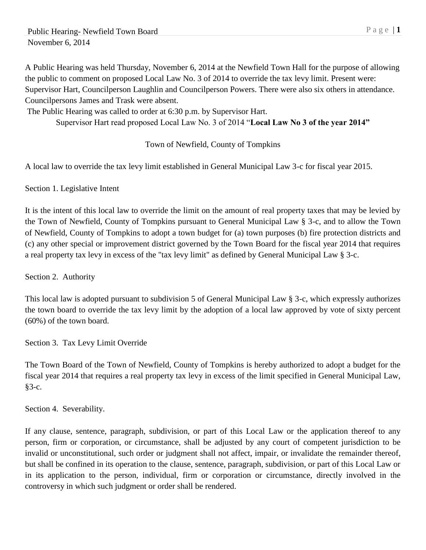A Public Hearing was held Thursday, November 6, 2014 at the Newfield Town Hall for the purpose of allowing the public to comment on proposed Local Law No. 3 of 2014 to override the tax levy limit. Present were: Supervisor Hart, Councilperson Laughlin and Councilperson Powers. There were also six others in attendance. Councilpersons James and Trask were absent.

The Public Hearing was called to order at 6:30 p.m. by Supervisor Hart.

Supervisor Hart read proposed Local Law No. 3 of 2014 "**Local Law No 3 of the year 2014"**

## Town of Newfield, County of Tompkins

A local law to override the tax levy limit established in General Municipal Law 3-c for fiscal year 2015.

Section 1. Legislative Intent

It is the intent of this local law to override the limit on the amount of real property taxes that may be levied by the Town of Newfield, County of Tompkins pursuant to General Municipal Law § 3-c, and to allow the Town of Newfield, County of Tompkins to adopt a town budget for (a) town purposes (b) fire protection districts and (c) any other special or improvement district governed by the Town Board for the fiscal year 2014 that requires a real property tax levy in excess of the "tax levy limit" as defined by General Municipal Law § 3-c.

Section 2. Authority

This local law is adopted pursuant to subdivision 5 of General Municipal Law § 3-c, which expressly authorizes the town board to override the tax levy limit by the adoption of a local law approved by vote of sixty percent (60%) of the town board.

Section 3. Tax Levy Limit Override

The Town Board of the Town of Newfield, County of Tompkins is hereby authorized to adopt a budget for the fiscal year 2014 that requires a real property tax levy in excess of the limit specified in General Municipal Law, §3-c.

Section 4. Severability.

If any clause, sentence, paragraph, subdivision, or part of this Local Law or the application thereof to any person, firm or corporation, or circumstance, shall be adjusted by any court of competent jurisdiction to be invalid or unconstitutional, such order or judgment shall not affect, impair, or invalidate the remainder thereof, but shall be confined in its operation to the clause, sentence, paragraph, subdivision, or part of this Local Law or in its application to the person, individual, firm or corporation or circumstance, directly involved in the controversy in which such judgment or order shall be rendered.